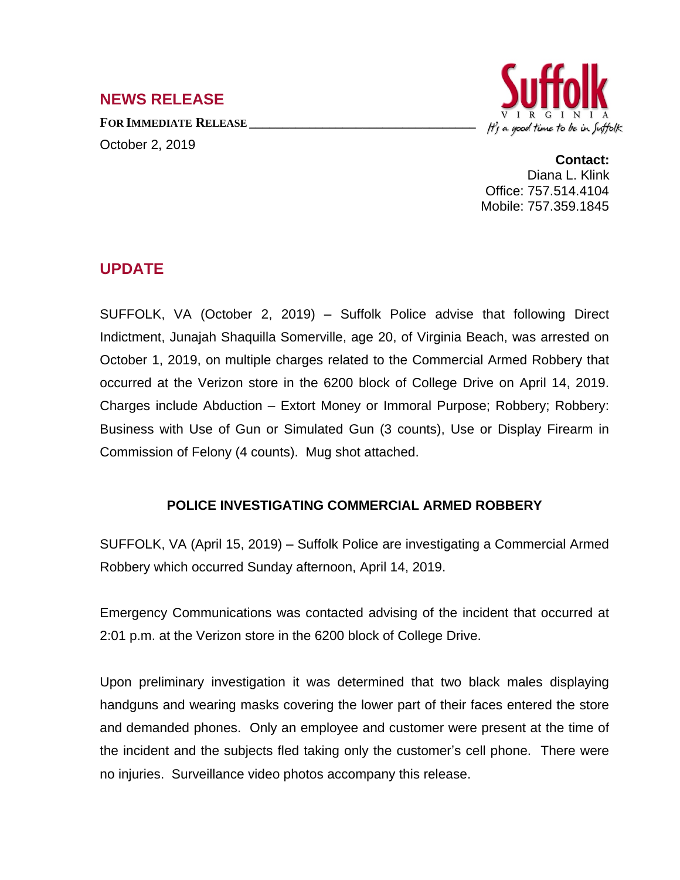## **NEWS RELEASE**

**FOR IMMEDIATE RELEASE \_\_\_\_\_\_\_\_\_\_\_\_\_\_\_\_\_\_\_\_\_\_\_\_\_\_\_\_\_\_\_\_\_\_** October 2, 2019



## **Contact:**

Diana L. Klink Office: 757.514.4104 Mobile: 757.359.1845

## **UPDATE**

SUFFOLK, VA (October 2, 2019) – Suffolk Police advise that following Direct Indictment, Junajah Shaquilla Somerville, age 20, of Virginia Beach, was arrested on October 1, 2019, on multiple charges related to the Commercial Armed Robbery that occurred at the Verizon store in the 6200 block of College Drive on April 14, 2019. Charges include Abduction – Extort Money or Immoral Purpose; Robbery; Robbery: Business with Use of Gun or Simulated Gun (3 counts), Use or Display Firearm in Commission of Felony (4 counts). Mug shot attached.

## **POLICE INVESTIGATING COMMERCIAL ARMED ROBBERY**

SUFFOLK, VA (April 15, 2019) – Suffolk Police are investigating a Commercial Armed Robbery which occurred Sunday afternoon, April 14, 2019.

Emergency Communications was contacted advising of the incident that occurred at 2:01 p.m. at the Verizon store in the 6200 block of College Drive.

Upon preliminary investigation it was determined that two black males displaying handguns and wearing masks covering the lower part of their faces entered the store and demanded phones. Only an employee and customer were present at the time of the incident and the subjects fled taking only the customer's cell phone. There were no injuries. Surveillance video photos accompany this release.